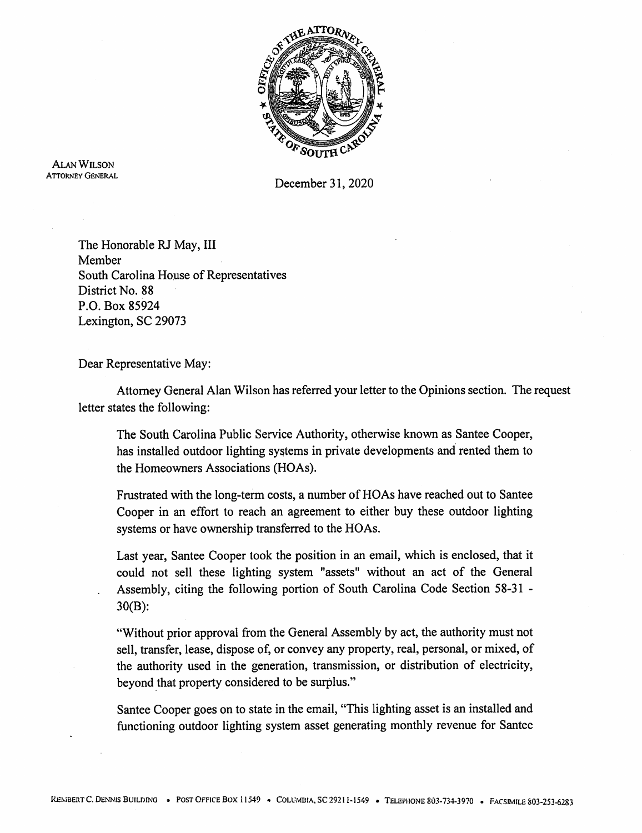

Alan Wilson Attorney General

December 31, 2020

The Honorable RJ May, III Member South Carolina House of Representatives District No. 88 P.O. Box 85924 Lexington, SC 29073

Dear Representative May:

Attorney General Alan Wilson has referred your letter to the Opinions section. The request letter states the following:

The South Carolina Public Service Authority, otherwise known as Santee Cooper, has installed outdoor lighting systems in private developments and rented them to the Homeowners Associations (HOAs).

Frustrated with the long-term costs, a number of HOAs have reached out to Santee Cooper in an effort to reach an agreement to either buy these outdoor lighting systems or have ownership transferred to the HOAs.

Last year, Santee Cooper took the position in an email, which is enclosed, that it could not sell these lighting system "assets" without an act of the General Assembly, citing the following portion of South Carolina Code Section 58-31 -30(B):

"Without prior approval from the General Assembly by act, the authority must not sell, transfer, lease, dispose of, or convey any property, real, personal, or mixed, of the authority used in the generation, transmission, or distribution of electricity, beyond that property considered to be surplus."

Santee Cooper goes on to state in the email, "This lighting asset is an installed and functioning outdoor lighting system asset generating monthly revenue for Santee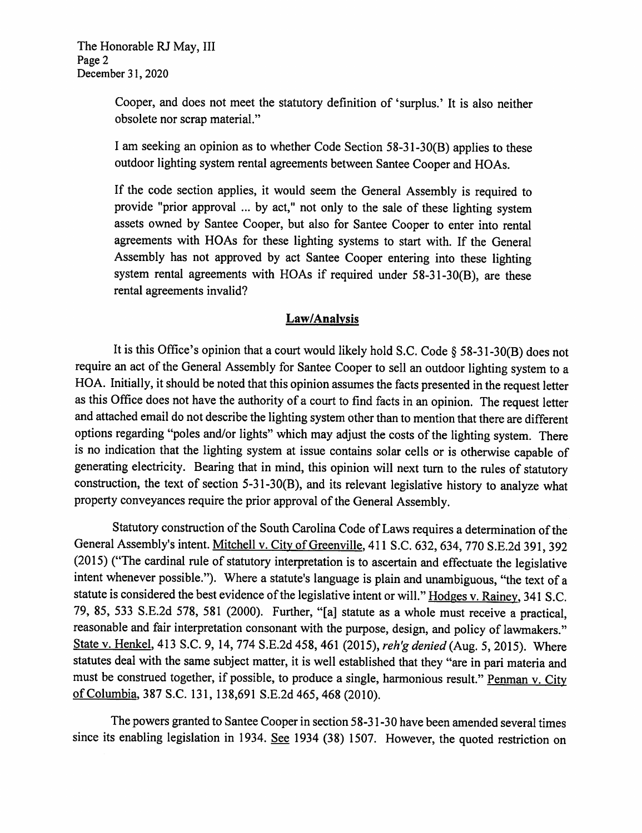Cooper, and does not meet the statutory definition of 'surplus.' It is also neither obsolete nor scrap material."

<sup>I</sup> am seeking an opinion as to whether Code Section 58-31 -30(B) applies to these outdoor lighting system rental agreements between Santee Cooper and HOAs.

If the code section applies, it would seem the General Assembly is required to provide "prior approval ... by act," not only to the sale of these lighting system assets owned by Santee Cooper, but also for Santee Cooper to enter into rental agreements with HOAs for these lighting systems to start with. If the General Assembly has not approved by act Santee Cooper entering into these lighting system rental agreements with HOAs if required under 58-31-30(B), are these rental agreements invalid?

## Law/Analysis

It is this Office's opinion that <sup>a</sup> court would likely hold S.C. Code § 58-31 -30(B) does not require an act of the General Assembly for Santee Cooper to sell an outdoor lighting system to <sup>a</sup> HOA. Initially, it should be noted that this opinion assumes the facts presented in the request letter as this Office does not have the authority of <sup>a</sup> court to find facts in an opinion. The request letter and attached email do not describe the lighting system other than to mention that there are different options regarding "poles and/or lights" which may adjust the costs of the lighting system. There is no indication that the lighting system at issue contains solar cells or is otherwise capable of generating electricity. Bearing that in mind, this opinion will next turn to the rules of statutory construction, the text of section 5-31 -30(B), and its relevant legislative history to analyze what property conveyances require the prior approval of the General Assembly.

Statutory construction of the South Carolina Code of Laws requires a determination of the General Assembly's intent. Mitchell v. City of Greenville, 411 S.C. 632, 634, 770 S.E.2d 391, 392 (2015) ("The cardinal rule of statutory interpretation is to ascertain and effectuate the legislative intent whenever possible."). Where <sup>a</sup> statute's language is plain and unambiguous, "the text of <sup>a</sup> statute is considered the best evidence of the legislative intent or will." Hodges v. Rainey, 341 S.C. 79, 85, <sup>533</sup> S.E.2d 578, <sup>581</sup> (2000). Further, "[a] statute as <sup>a</sup> whole must receive <sup>a</sup> practical, reasonable and fair interpretation consonant with the purpose, design, and policy of lawmakers." State v. Henkel, 413 S.C. 9, 14, 774 S.E.2d 458, 461 (2015), reh'g denied (Aug. 5, 2015). Where statutes deal with the same subject matter, it is well established that they "are in pari materia and must be construed together, if possible, to produce <sup>a</sup> single, harmonious result." Penman v. Citv of Columbia. <sup>387</sup> S.C. 131, 138,691 S.E.2d 465, <sup>468</sup> (2010).

The powers granted to Santee Cooper in section 58-3 <sup>1</sup> -30 have been amended several times since its enabling legislation in 1934. See 1934 (38) 1507. However, the quoted restriction on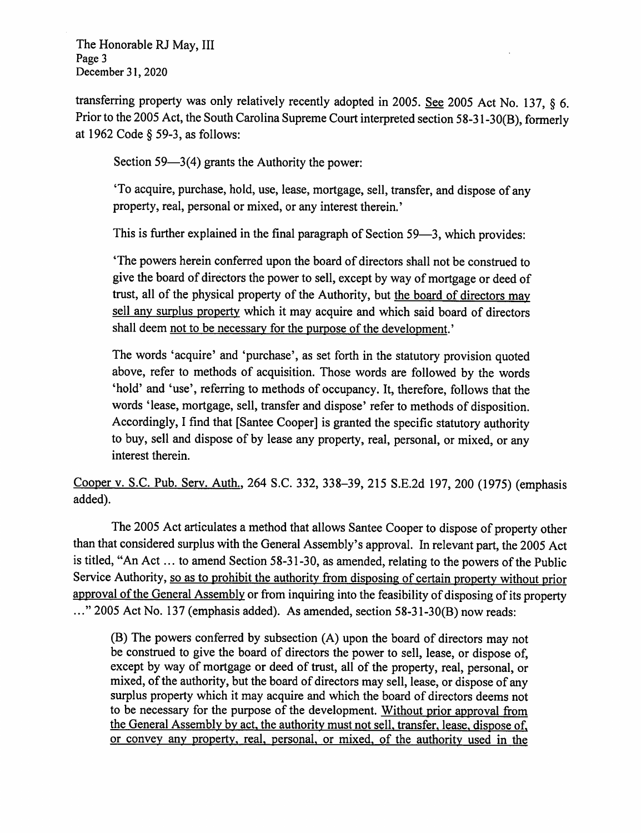The Honorable RJ May, III Page 3 December 31, 2020

transferring property was only relatively recently adopted in 2005. See <sup>2005</sup> Act No. 137, § 6. Prior to the <sup>2005</sup> Act, the South Carolina Supreme Court interpreted section 58-3 <sup>1</sup> -30(B), formerly at 1962 Code § 59-3, as follows:

Section 59—3(4) grants the Authority the power:

'To acquire, purchase, hold, use, lease, mortgage, sell, transfer, and dispose of any property, real, personal or mixed, or any interest therein.'

This is further explained in the final paragraph of Section <sup>59</sup>—3, which provides:

'The powers herein conferred upon the board of directors shall not be construed to give the board of directors the power to sell, except by way of mortgage or deed of trust, all of the physical property of the Authority, but the board of directors mav sell any surplus property which it may acquire and which said board of directors shall deem not to be necessary for the purpose of the development.'

The words 'acquire' and 'purchase', as set forth in the statutory provision quoted above, refer to methods of acquisition. Those words are followed by the words 'hold' and 'use', referring to methods of occupancy. It, therefore, follows that the words 'lease, mortgage, sell, transfer and dispose' refer to methods of disposition. Accordingly, <sup>I</sup> find that [Santee Cooper] is granted the specific statutory authority to buy, sell and dispose of by lease any property, real, personal, or mixed, or any interest therein.

Cooper v. S.C. Pub. Serv. Auth.. <sup>264</sup> S.C. 332, 338-39, <sup>215</sup> S.E.2d 197, <sup>200</sup> (1975) (emphasis added).

The 2005 Act articulates a method that allows Santee Cooper to dispose of property other than that considered surplus with the General Assembly's approval. In relevant part, the <sup>2005</sup> Act is titled, "An Act ... to amend Section 58-31-30, as amended, relating to the powers of the Public Service Authority, so as to prohibit the authority from disposing of certain property without prior approval of the General Assembly or from inquiring into the feasibility of disposing of its property  $\ldots$  2005 Act No. 137 (emphasis added). As amended, section 58-31-30(B) now reads:

(B) The powers conferred by subsection (A) upon the board of directors may not be construed to give the board of directors the power to sell, lease, or dispose of, except by way of mortgage or deed of trust, all of the property, real, personal, or mixed, of the authority, but the board of directors may sell, lease, or dispose of any surplus property which it may acquire and which the board of directors deems not to be necessary for the purpose of the development. Without prior approval from the General Assembly bv act, the authority must not sell, transfer, lease, dispose of or convey any property, real, personal, or mixed, of the authority used in the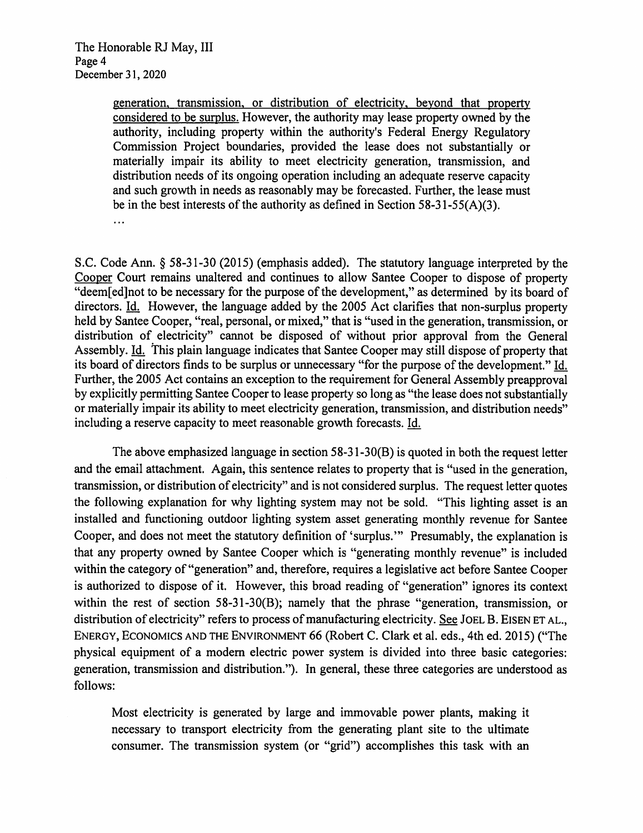generation, transmission, or distribution of electricity, beyond that property considered to be surplus. However, the authority may lease property owned by the authority, including property within the authority's Federal Energy Regulatory Commission Project boundaries, provided the lease does not substantially or materially impair its ability to meet electricity generation, transmission, and distribution needs of its ongoing operation including an adequate reserve capacity and such growth in needs as reasonably may be forecasted. Further, the lease must be in the best interests of the authority as defined in Section 58-31-55(A)(3).  $\dddotsc$ 

S.C. Code Ann. § 58-31-30 (2015) (emphasis added). The statutory language interpreted by the Cooper Court remains unaltered and continues to allow Santee Cooper to dispose of property "deem[ed]not to be necessary for the purpose of the development," as determined by its board of directors. Id. However, the language added by the 2005 Act clarifies that non-surplus property held by Santee Cooper, "real, personal, or mixed," that is "used in the generation, transmission, or distribution of electricity" cannot be disposed of without prior approval from the General Assembly. Id. This plain language indicates that Santee Cooper may still dispose of property that its board of directors finds to be surplus or unnecessary "for the purpose of the development." Id. Further, the 2005 Act contains an exception to the requirement for General Assembly preapproval by explicitly permitting Santee Cooper to lease property so long as "the lease does not substantially or materially impair its ability to meet electricity generation, transmission, and distribution needs" including a reserve capacity to meet reasonable growth forecasts. Id.

The above emphasized language in section 58-31 -30(B) is quoted in both the request letter and the email attachment. Again, this sentence relates to property that is "used in the generation, transmission, or distribution of electricity" and is not considered surplus. The request letter quotes the following explanation for why lighting system may not be sold. "This lighting asset is an installed and functioning outdoor lighting system asset generating monthly revenue for Santee Cooper, and does not meet the statutory definition of 'surplus.'" Presumably, the explanation is that any property owned by Santee Cooper which is "generating monthly revenue" is included within the category of "generation" and, therefore, requires a legislative act before Santee Cooper is authorized to dispose of it. However, this broad reading of "generation" ignores its context within the rest of section 58-31-30(B); namely that the phrase "generation, transmission, or distribution of electricity" refers to process of manufacturing electricity. See JOEL B. EISEN ET AL., Energy, Economics and the Environment 66 (Robert C. Clark et al. eds., 4th ed. 2015) ("The physical equipment of a modern electric power system is divided into three basic categories: generation, transmission and distribution."). In general, these three categories are understood as follows:

Most electricity is generated by large and immovable power plants, making it necessary to transport electricity from the generating plant site to the ultimate consumer. The transmission system (or "grid") accomplishes this task with an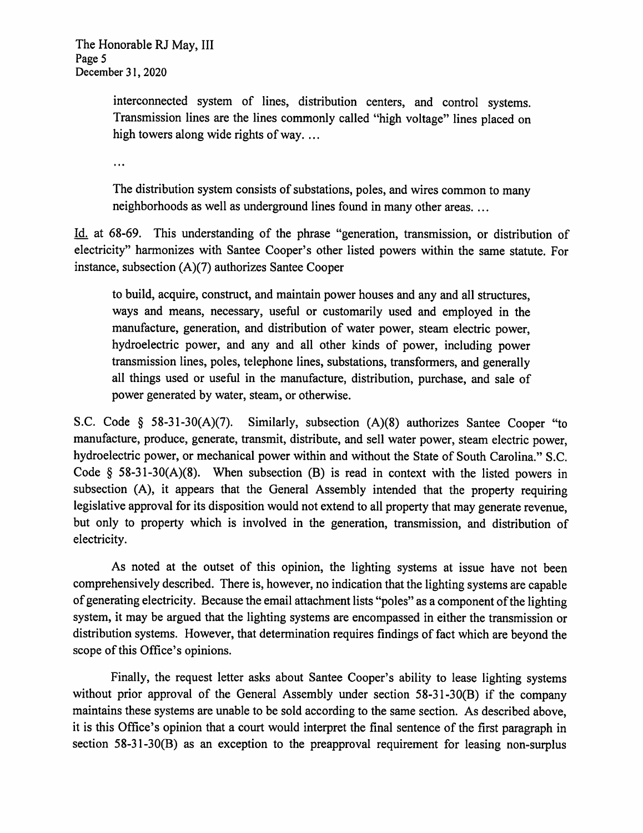interconnected system of lines, distribution centers, and control systems. Transmission lines are the lines commonly called "high voltage" lines placed on high towers along wide rights of way. ...

 $\dddotsc$ 

The distribution system consists of substations, poles, and wires common to many neighborhoods as well as underground lines found in many other areas. ...

Id. at 68-69. This understanding of the phrase "generation, transmission, or distribution of electricity" harmonizes with Santee Cooper's other listed powers within the same statute. For instance, subsection (A)(7) authorizes Santee Cooper

to build, acquire, construct, and maintain power houses and any and all structures, ways and means, necessary, useful or customarily used and employed in the manufacture, generation, and distribution of water power, steam electric power, hydroelectric power, and any and all other kinds of power, including power transmission lines, poles, telephone lines, substations, transformers, and generally all things used or useful in the manufacture, distribution, purchase, and sale of power generated by water, steam, or otherwise.

S.C. Code § 58-31-30(A)(7). Similarly, subsection (A)(8) authorizes Santee Cooper "to manufacture, produce, generate, transmit, distribute, and sell water power, steam electric power, hydroelectric power, or mechanical power within and without the State of South Carolina." S.C. Code § 58-31 -30(A)(8). When subsection (B) is read in context with the listed powers in subsection (A), it appears that the General Assembly intended that the property requiring legislative approval for its disposition would not extend to all property that may generate revenue, but only to property which is involved in the generation, transmission, and distribution of electricity.

As noted at the outset of this opinion, the lighting systems at issue have not been comprehensively described. There is, however, no indication that the lighting systems are capable ofgenerating electricity. Because the email attachment lists "poles" as <sup>a</sup> component ofthe lighting system, it may be argued that the lighting systems are encompassed in either the transmission or distribution systems. However, that determination requires findings of fact which are beyond the scope of this Office's opinions.

Finally, the request letter asks about Santee Cooper's ability to lease lighting systems without prior approval of the General Assembly under section 58-31-30(B) if the company maintains these systems are unable to be sold according to the same section. As described above, it is this Office's opinion that <sup>a</sup> court would interpret the final sentence of the first paragraph in section 58-31-30(B) as an exception to the preapproval requirement for leasing non-surplus